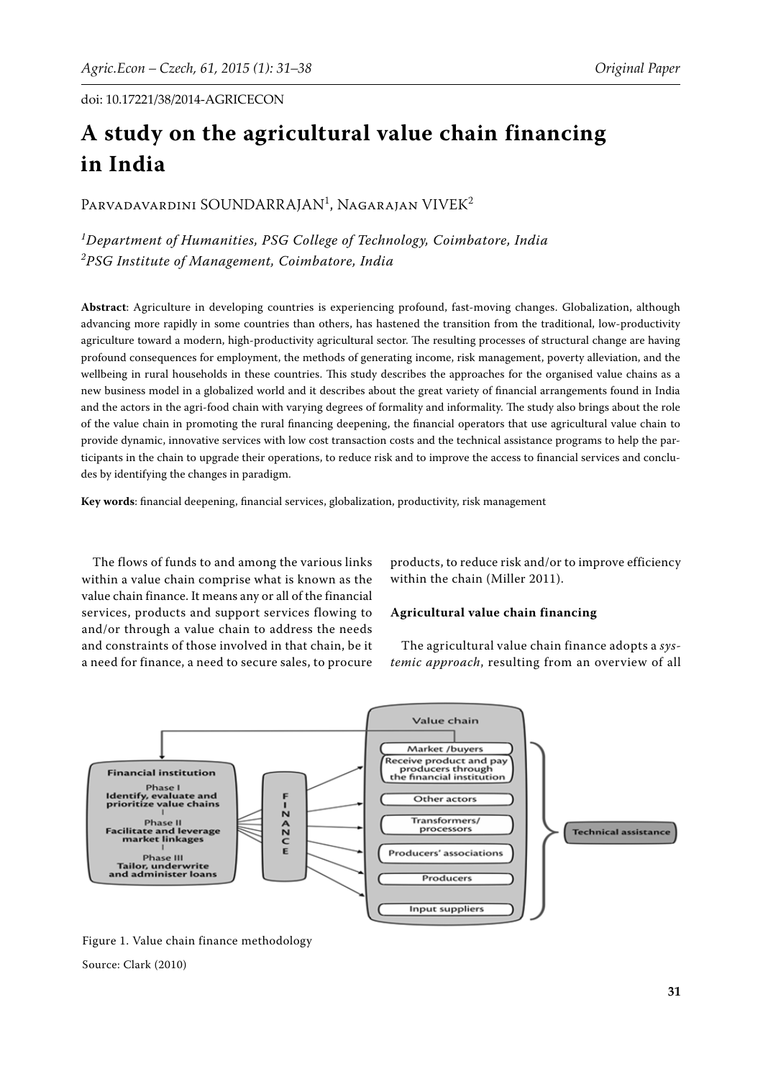# **A study on the agricultural value chain financing in India**

Parvadavardini SOUNDARRAJAN<sup>1</sup>, Nagarajan VIVEK<sup>2</sup>

*1 Department of Humanities, PSG College of Technology, Coimbatore, India 2 PSG Institute of Management, Coimbatore, India*

**Abstract**: Agriculture in developing countries is experiencing profound, fast-moving changes. Globalization, although advancing more rapidly in some countries than others, has hastened the transition from the traditional, low-productivity agriculture toward a modern, high-productivity agricultural sector. The resulting processes of structural change are having profound consequences for employment, the methods of generating income, risk management, poverty alleviation, and the wellbeing in rural households in these countries. This study describes the approaches for the organised value chains as a new business model in a globalized world and it describes about the great variety of financial arrangements found in India and the actors in the agri-food chain with varying degrees of formality and informality. The study also brings about the role of the value chain in promoting the rural financing deepening, the financial operators that use agricultural value chain to provide dynamic, innovative services with low cost transaction costs and the technical assistance programs to help the participants in the chain to upgrade their operations, to reduce risk and to improve the access to financial services and concludes by identifying the changes in paradigm.

Key words: financial deepening, financial services, globalization, productivity, risk management

The flows of funds to and among the various links within a value chain comprise what is known as the value chain finance. It means any or all of the financial services, products and support services flowing to and/or through a value chain to address the needs and constraints of those involved in that chain, be it a need for finance, a need to secure sales, to procure

products, to reduce risk and/or to improve efficiency within the chain (Miller 2011).

# **Agricultural value chain financing**

The agricultural value chain finance adopts a *systemic approach*, resulting from an overview of all



Figure 1. Value chain finance methodology Source: Clark (2010)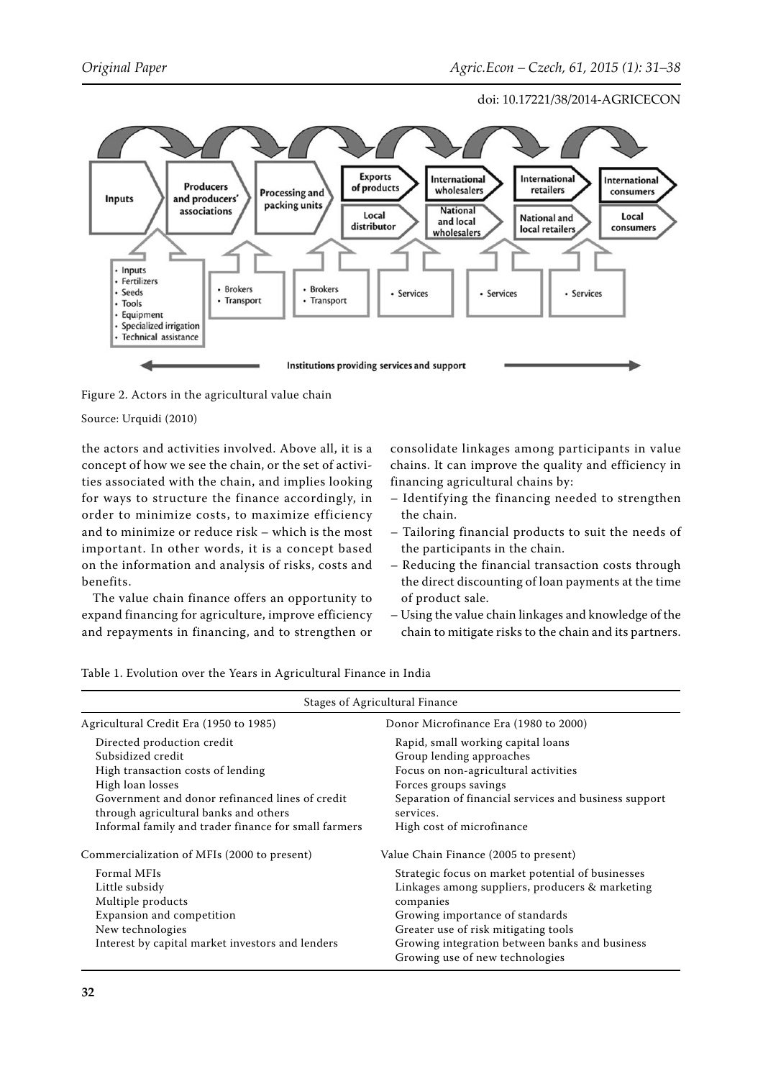

Figure 2. Actors in the agricultural value chain

```
Source: Urquidi (2010)
```
the actors and activities involved. Above all, it is a concept of how we see the chain, or the set of activities associated with the chain, and implies looking for ways to structure the finance accordingly, in order to minimize costs, to maximize efficiency and to minimize or reduce risk – which is the most important. In other words, it is a concept based on the information and analysis of risks, costs and benefits.

The value chain finance offers an opportunity to expand financing for agriculture, improve efficiency and repayments in financing, and to strengthen or consolidate linkages among participants in value chains. It can improve the quality and efficiency in financing agricultural chains by:

- Identifying the financing needed to strengthen the chain.
- Tailoring financial products to suit the needs of the participants in the chain.
- Reducing the financial transaction costs through the direct discounting of loan payments at the time of product sale.
- Using the value chain linkages and knowledge of the chain to mitigate risks to the chain and its partners.

| <b>Stages of Agricultural Finance</b>                                                                                                                                                                                                                        |                                                                                                                                                                                                                                                                                   |
|--------------------------------------------------------------------------------------------------------------------------------------------------------------------------------------------------------------------------------------------------------------|-----------------------------------------------------------------------------------------------------------------------------------------------------------------------------------------------------------------------------------------------------------------------------------|
| Agricultural Credit Era (1950 to 1985)                                                                                                                                                                                                                       | Donor Microfinance Era (1980 to 2000)                                                                                                                                                                                                                                             |
| Directed production credit<br>Subsidized credit<br>High transaction costs of lending<br>High loan losses<br>Government and donor refinanced lines of credit<br>through agricultural banks and others<br>Informal family and trader finance for small farmers | Rapid, small working capital loans<br>Group lending approaches<br>Focus on non-agricultural activities<br>Forces groups savings<br>Separation of financial services and business support<br>services.<br>High cost of microfinance                                                |
| Commercialization of MFIs (2000 to present)                                                                                                                                                                                                                  | Value Chain Finance (2005 to present)                                                                                                                                                                                                                                             |
| Formal MFIs<br>Little subsidy<br>Multiple products<br>Expansion and competition<br>New technologies<br>Interest by capital market investors and lenders                                                                                                      | Strategic focus on market potential of businesses<br>Linkages among suppliers, producers & marketing<br>companies<br>Growing importance of standards<br>Greater use of risk mitigating tools<br>Growing integration between banks and business<br>Growing use of new technologies |

Table 1. Evolution over the Years in Agricultural Finance in India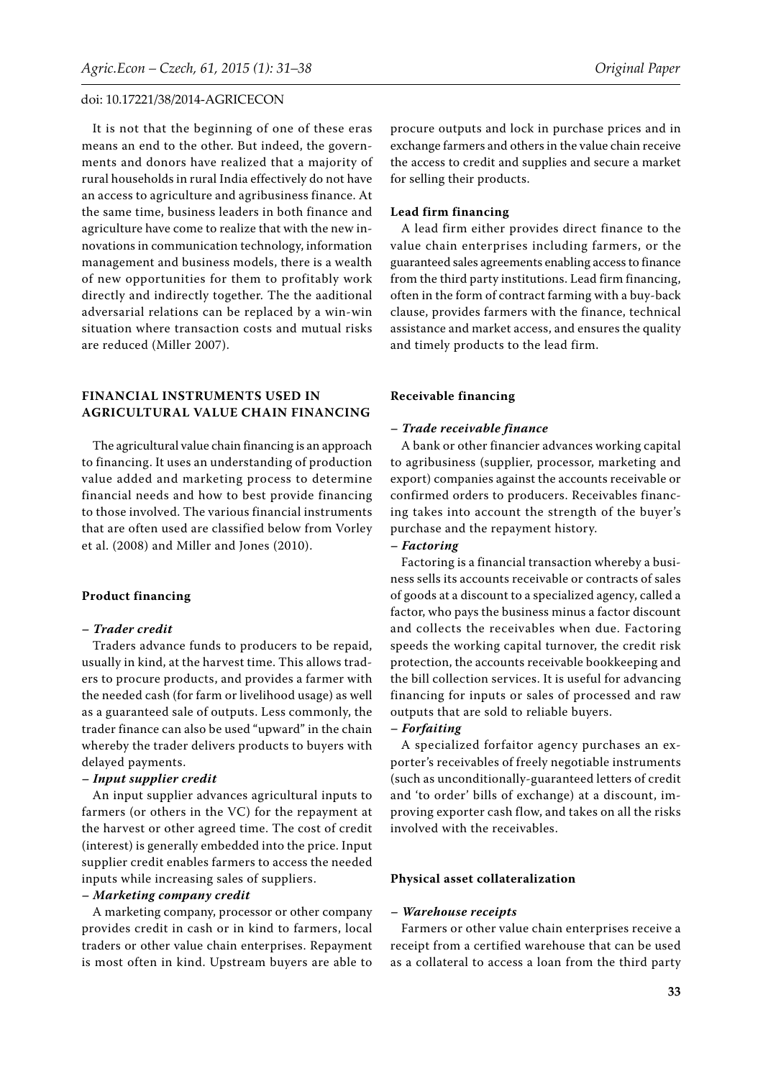It is not that the beginning of one of these eras means an end to the other. But indeed, the governments and donors have realized that a majority of rural households in rural India effectively do not have an access to agriculture and agribusiness finance. At the same time, business leaders in both finance and agriculture have come to realize that with the new innovations in communication technology, information management and business models, there is a wealth of new opportunities for them to profitably work directly and indirectly together. The the aaditional adversarial relations can be replaced by a win-win situation where transaction costs and mutual risks are reduced (Miller 2007).

# **FINANCIAL INSTRUMENTS USED IN AGRICULTURAL VALUE CHAIN FINANCING**

The agricultural value chain financing is an approach to financing. It uses an understanding of production value added and marketing process to determine financial needs and how to best provide financing to those involved. The various financial instruments that are often used are classified below from Vorley et al. (2008) and Miller and Jones (2010).

## **Product financing**

### **–** *Trader credit*

Traders advance funds to producers to be repaid, usually in kind, at the harvest time. This allows traders to procure products, and provides a farmer with the needed cash (for farm or livelihood usage) as well as a guaranteed sale of outputs. Less commonly, the trader finance can also be used "upward" in the chain whereby the trader delivers products to buyers with delayed payments.

#### **–** *Input supplier credit*

An input supplier advances agricultural inputs to farmers (or others in the VC) for the repayment at the harvest or other agreed time. The cost of credit (interest) is generally embedded into the price. Input supplier credit enables farmers to access the needed inputs while increasing sales of suppliers.

# **–** *Marketing company credit*

A marketing company, processor or other company provides credit in cash or in kind to farmers, local traders or other value chain enterprises. Repayment is most often in kind. Upstream buyers are able to

procure outputs and lock in purchase prices and in exchange farmers and others in the value chain receive the access to credit and supplies and secure a market for selling their products.

## **Lead firm financing**

A lead firm either provides direct finance to the value chain enterprises including farmers, or the guaranteed sales agreements enabling access to finance from the third party institutions. Lead firm financing, often in the form of contract farming with a buy-back clause, provides farmers with the finance, technical assistance and market access, and ensures the quality and timely products to the lead firm.

## **Receivable financing**

## **–** *Trade receivable finance*

A bank or other financier advances working capital to agribusiness (supplier, processor, marketing and export) companies against the accounts receivable or confirmed orders to producers. Receivables financing takes into account the strength of the buyer's purchase and the repayment history.

#### **–** *Factoring*

Factoring is a financial transaction whereby a business sells its accounts receivable or contracts of sales of goods at a discount to a specialized agency, called a factor, who pays the business minus a factor discount and collects the receivables when due. Factoring speeds the working capital turnover, the credit risk protection, the accounts receivable bookkeeping and the bill collection services. It is useful for advancing financing for inputs or sales of processed and raw outputs that are sold to reliable buyers.

## **–** *Forfaiting*

A specialized forfaitor agency purchases an exporter's receivables of freely negotiable instruments (such as unconditionally-guaranteed letters of credit and 'to order' bills of exchange) at a discount, improving exporter cash flow, and takes on all the risks involved with the receivables.

## **Physical asset collateralization**

#### *– Warehouse receipts*

Farmers or other value chain enterprises receive a receipt from a certified warehouse that can be used as a collateral to access a loan from the third party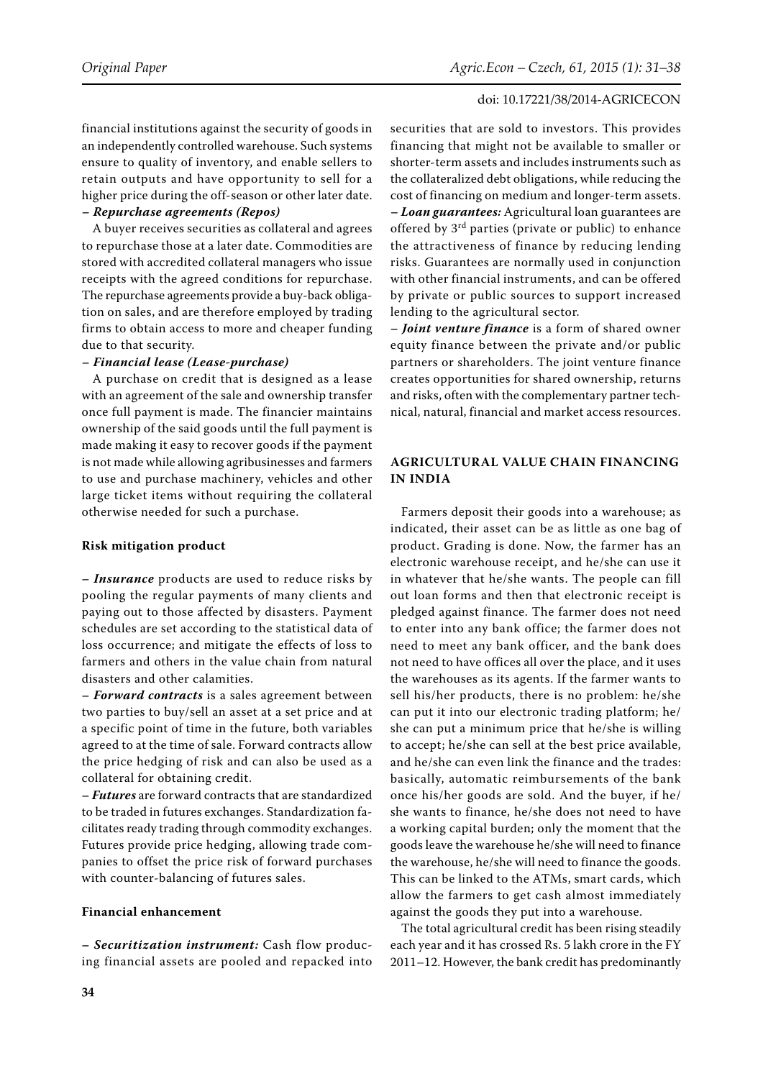financial institutions against the security of goods in an independently controlled warehouse. Such systems ensure to quality of inventory, and enable sellers to retain outputs and have opportunity to sell for a higher price during the off-season or other later date.

*– Repurchase agreements (Repos)* 

A buyer receives securities as collateral and agrees to repurchase those at a later date. Commodities are stored with accredited collateral managers who issue receipts with the agreed conditions for repurchase. The repurchase agreements provide a buy-back obligation on sales, and are therefore employed by trading firms to obtain access to more and cheaper funding due to that security.

## *– Financial lease (Lease-purchase)*

A purchase on credit that is designed as a lease with an agreement of the sale and ownership transfer once full payment is made. The financier maintains ownership of the said goods until the full payment is made making it easy to recover goods if the payment is not made while allowing agribusinesses and farmers to use and purchase machinery, vehicles and other large ticket items without requiring the collateral otherwise needed for such a purchase.

## **Risk mitigation product**

**–** *Insurance* products are used to reduce risks by pooling the regular payments of many clients and paying out to those affected by disasters. Payment schedules are set according to the statistical data of loss occurrence; and mitigate the effects of loss to farmers and others in the value chain from natural disasters and other calamities.

**–** *Forward contracts* is a sales agreement between two parties to buy/sell an asset at a set price and at a specific point of time in the future, both variables agreed to at the time of sale. Forward contracts allow the price hedging of risk and can also be used as a collateral for obtaining credit.

**–** *Futures* are forward contracts that are standardized to be traded in futures exchanges. Standardization facilitates ready trading through commodity exchanges. Futures provide price hedging, allowing trade companies to offset the price risk of forward purchases with counter-balancing of futures sales.

# **Financial enhancement**

**–** *Securitization instrument:* Cash flow producing financial assets are pooled and repacked into

securities that are sold to investors. This provides financing that might not be available to smaller or shorter-term assets and includes instruments such as the collateralized debt obligations, while reducing the cost of financing on medium and longer-term assets. *– Loan guarantees:* Agricultural loan guarantees are offered by  $3<sup>rd</sup>$  parties (private or public) to enhance the attractiveness of finance by reducing lending risks. Guarantees are normally used in conjunction with other financial instruments, and can be offered by private or public sources to support increased lending to the agricultural sector.

**–** *Joint venture finance* is a form of shared owner equity finance between the private and/or public partners or shareholders. The joint venture finance creates opportunities for shared ownership, returns and risks, often with the complementary partner technical, natural, financial and market access resources.

# **AGRICULTURAL VALUE CHAIN FINANCING IN INDIA**

Farmers deposit their goods into a warehouse; as indicated, their asset can be as little as one bag of product. Grading is done. Now, the farmer has an electronic warehouse receipt, and he/she can use it in whatever that he/she wants. The people can fill out loan forms and then that electronic receipt is pledged against finance. The farmer does not need to enter into any bank office; the farmer does not need to meet any bank officer, and the bank does not need to have offices all over the place, and it uses the warehouses as its agents. If the farmer wants to sell his/her products, there is no problem: he/she can put it into our electronic trading platform; he/ she can put a minimum price that he/she is willing to accept; he/she can sell at the best price available, and he/she can even link the finance and the trades: basically, automatic reimbursements of the bank once his/her goods are sold. And the buyer, if he/ she wants to finance, he/she does not need to have a working capital burden; only the moment that the goods leave the warehouse he/she will need to finance the warehouse, he/she will need to finance the goods. This can be linked to the ATMs, smart cards, which allow the farmers to get cash almost immediately against the goods they put into a warehouse.

The total agricultural credit has been rising steadily each year and it has crossed Rs. 5 lakh crore in the FY 2011–12. However, the bank credit has predominantly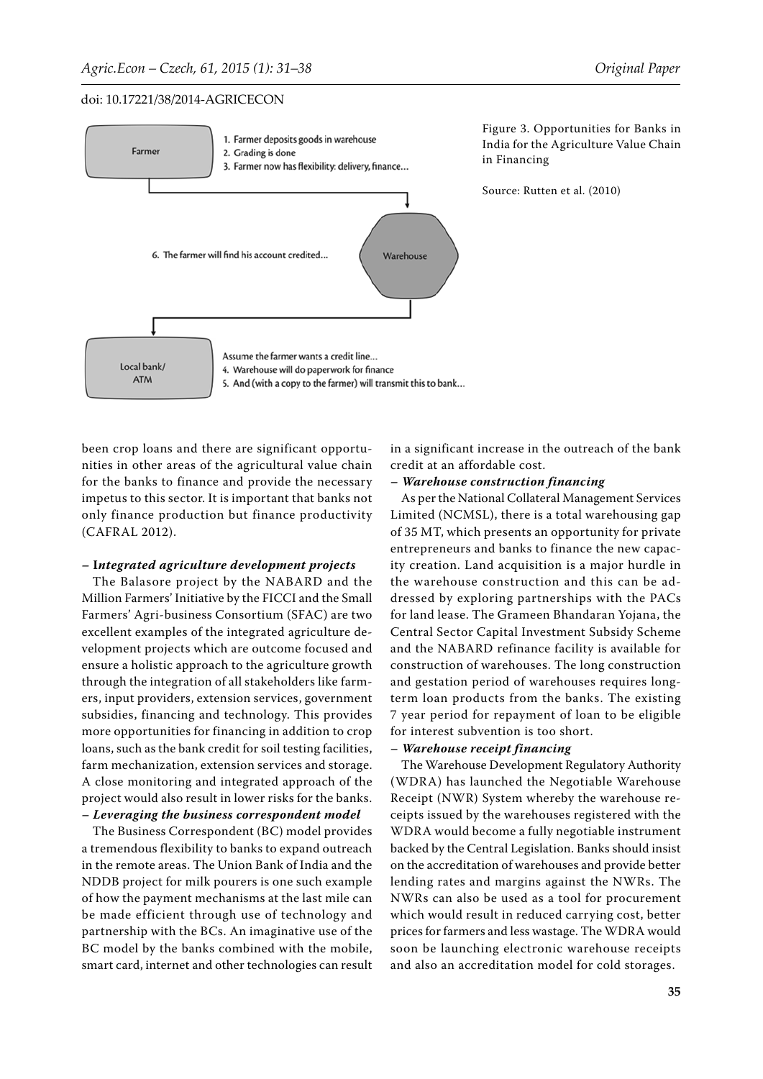

been crop loans and there are significant opportunities in other areas of the agricultural value chain for the banks to finance and provide the necessary impetus to this sector. It is important that banks not only finance production but finance productivity (CAFRAL 2012).

## **– I***ntegrated agriculture development projects*

The Balasore project by the NABARD and the Million Farmers' Initiative by the FICCI and the Small Farmers' Agri-business Consortium (SFAC) are two excellent examples of the integrated agriculture development projects which are outcome focused and ensure a holistic approach to the agriculture growth through the integration of all stakeholders like farmers, input providers, extension services, government subsidies, financing and technology. This provides more opportunities for financing in addition to crop loans, such as the bank credit for soil testing facilities, farm mechanization, extension services and storage. A close monitoring and integrated approach of the project would also result in lower risks for the banks.

# **–** *Leveraging the business correspondent model*

The Business Correspondent (BC) model provides a tremendous flexibility to banks to expand outreach in the remote areas. The Union Bank of India and the NDDB project for milk pourers is one such example of how the payment mechanisms at the last mile can be made efficient through use of technology and partnership with the BCs. An imaginative use of the BC model by the banks combined with the mobile, smart card, internet and other technologies can result in a significant increase in the outreach of the bank credit at an affordable cost.

## **–** *Warehouse construction financing*

As per the National Collateral Management Services Limited (NCMSL), there is a total warehousing gap of 35 MT, which presents an opportunity for private entrepreneurs and banks to finance the new capacity creation. Land acquisition is a major hurdle in the warehouse construction and this can be addressed by exploring partnerships with the PACs for land lease. The Grameen Bhandaran Yojana, the Central Sector Capital Investment Subsidy Scheme and the NABARD refinance facility is available for construction of warehouses. The long construction and gestation period of warehouses requires longterm loan products from the banks. The existing 7 year period for repayment of loan to be eligible for interest subvention is too short.

## **–** *Warehouse receipt financing*

The Warehouse Development Regulatory Authority (WDRA) has launched the Negotiable Warehouse Receipt (NWR) System whereby the warehouse receipts issued by the warehouses registered with the WDRA would become a fully negotiable instrument backed by the Central Legislation. Banks should insist on the accreditation of warehouses and provide better lending rates and margins against the NWRs. The NWRs can also be used as a tool for procurement which would result in reduced carrying cost, better prices for farmers and less wastage. The WDRA would soon be launching electronic warehouse receipts and also an accreditation model for cold storages.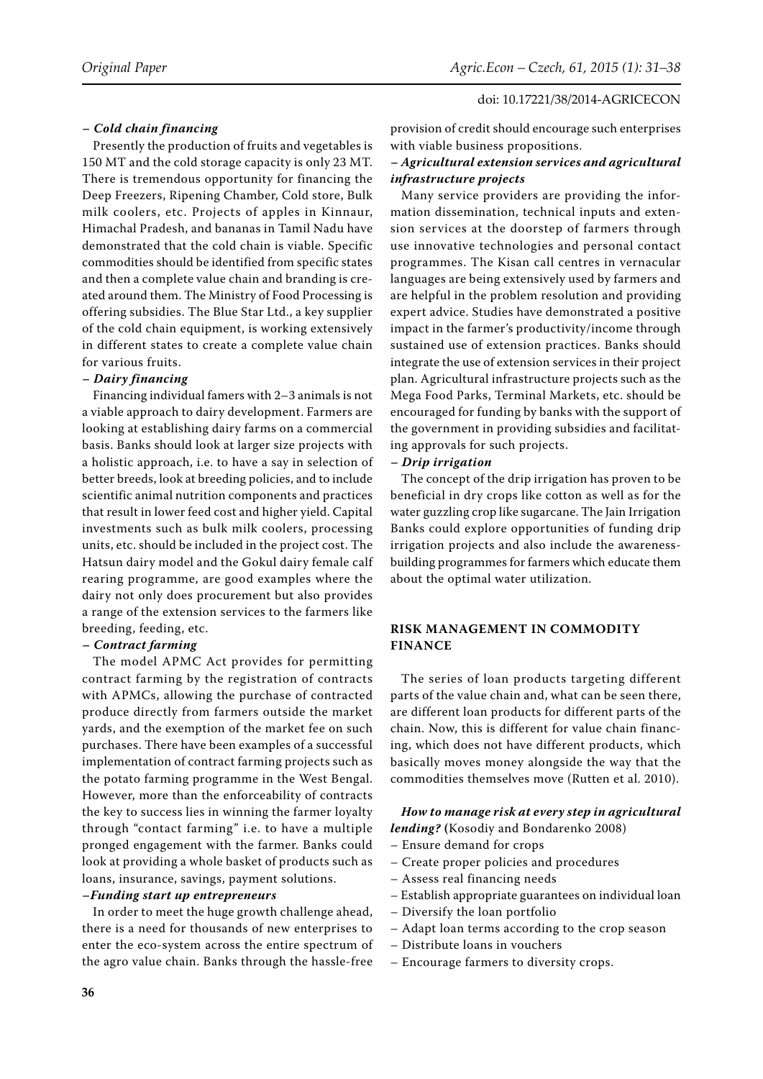# *– Cold chain financing*

Presently the production of fruits and vegetables is 150 MT and the cold storage capacity is only 23 MT. There is tremendous opportunity for financing the Deep Freezers, Ripening Chamber, Cold store, Bulk milk coolers, etc. Projects of apples in Kinnaur, Himachal Pradesh, and bananas in Tamil Nadu have demonstrated that the cold chain is viable. Specific commodities should be identified from specific states and then a complete value chain and branding is created around them. The Ministry of Food Processing is offering subsidies. The Blue Star Ltd., a key supplier of the cold chain equipment, is working extensively in different states to create a complete value chain for various fruits.

# *– Dairy financing*

Financing individual famers with 2–3 animals is not a viable approach to dairy development. Farmers are looking at establishing dairy farms on a commercial basis. Banks should look at larger size projects with a holistic approach, i.e. to have a say in selection of better breeds, look at breeding policies, and to include scientific animal nutrition components and practices that result in lower feed cost and higher yield. Capital investments such as bulk milk coolers, processing units, etc. should be included in the project cost. The Hatsun dairy model and the Gokul dairy female calf rearing programme, are good examples where the dairy not only does procurement but also provides a range of the extension services to the farmers like breeding, feeding, etc.

## *– Contract farming*

The model APMC Act provides for permitting contract farming by the registration of contracts with APMCs, allowing the purchase of contracted produce directly from farmers outside the market yards, and the exemption of the market fee on such purchases. There have been examples of a successful implementation of contract farming projects such as the potato farming programme in the West Bengal. However, more than the enforceability of contracts the key to success lies in winning the farmer loyalty through "contact farming" i.e. to have a multiple pronged engagement with the farmer. Banks could look at providing a whole basket of products such as loans, insurance, savings, payment solutions.

## *–Funding start up entrepreneurs*

In order to meet the huge growth challenge ahead, there is a need for thousands of new enterprises to enter the eco-system across the entire spectrum of the agro value chain. Banks through the hassle-free

provision of credit should encourage such enterprises with viable business propositions.

# *– Agricultural extension services and agricultural infrastructure projects*

Many service providers are providing the information dissemination, technical inputs and extension services at the doorstep of farmers through use innovative technologies and personal contact programmes. The Kisan call centres in vernacular languages are being extensively used by farmers and are helpful in the problem resolution and providing expert advice. Studies have demonstrated a positive impact in the farmer's productivity/income through sustained use of extension practices. Banks should integrate the use of extension services in their project plan. Agricultural infrastructure projects such as the Mega Food Parks, Terminal Markets, etc. should be encouraged for funding by banks with the support of the government in providing subsidies and facilitating approvals for such projects.

# *– Drip irrigation*

The concept of the drip irrigation has proven to be beneficial in dry crops like cotton as well as for the water guzzling crop like sugarcane. The Jain Irrigation Banks could explore opportunities of funding drip irrigation projects and also include the awarenessbuilding programmes for farmers which educate them about the optimal water utilization.

# **RISK MANAGEMENT IN COMMODITY FINANCE**

The series of loan products targeting different parts of the value chain and, what can be seen there, are different loan products for different parts of the chain. Now, this is different for value chain financing, which does not have different products, which basically moves money alongside the way that the commodities themselves move (Rutten et al. 2010).

*How to manage risk at every step in agricultural lending?* **(**Kosodiy and Bondarenko 2008)

- Ensure demand for crops
- Create proper policies and procedures
- Assess real financing needs
- Establish appropriate guarantees on individual loan
- Diversify the loan portfolio
- Adapt loan terms according to the crop season
- Distribute loans in vouchers
- Encourage farmers to diversity crops.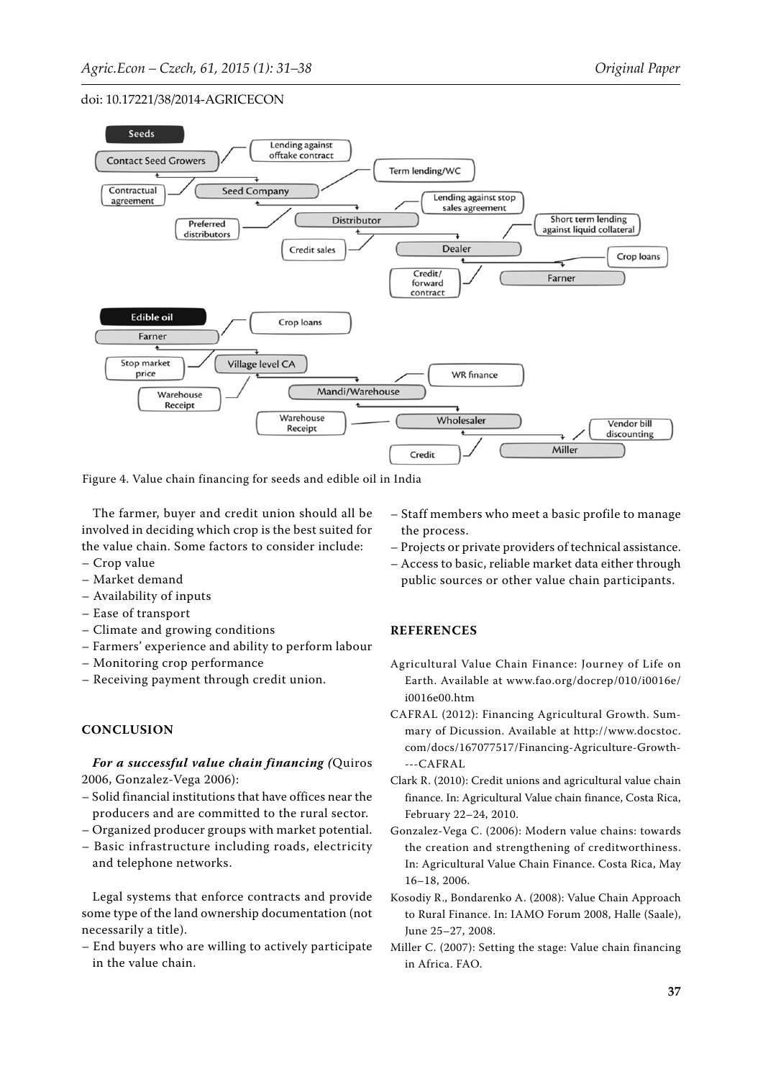

Figure 4. Value chain financing for seeds and edible oil in India

The farmer, buyer and credit union should all be involved in deciding which crop is the best suited for the value chain. Some factors to consider include:

- Crop value
- Market demand
- Availability of inputs
- Ease of transport
- Climate and growing conditions
- Farmers' experience and ability to perform labour
- Monitoring crop performance
- Receiving payment through credit union.

# **CONCLUSION**

*For a successful value chain financing (*Quiros 2006, Gonzalez-Vega 2006):

- Solid financial institutions that have offices near the producers and are committed to the rural sector.
- Organized producer groups with market potential.
- Basic infrastructure including roads, electricity and telephone networks.

Legal systems that enforce contracts and provide some type of the land ownership documentation (not necessarily a title).

– End buyers who are willing to actively participate in the value chain.

- Staff members who meet a basic profile to manage the process.
- Projects or private providers of technical assistance.
- Access to basic, reliable market data either through public sources or other value chain participants.

# **REFERENCES**

- Agricultural Value Chain Finance: Journey of Life on Earth. Available at www.fao.org/docrep/010/i0016e/ i0016e00.htm
- CAFRAL (2012): Financing Agricultural Growth. Summary of Dicussion. Available at http://www.docstoc. com/docs/167077517/Financing-Agriculture-Growth- ---CAFRAL
- Clark R. (2010): Credit unions and agricultural value chain finance. In: Agricultural Value chain finance, Costa Rica, February 22–24, 2010.
- Gonzalez-Vega C. (2006): Modern value chains: towards the creation and strengthening of creditworthiness. In: Agricultural Value Chain Finance. Costa Rica, May 16–18, 2006.
- Kosodiy R., Bondarenko A. (2008): Value Chain Approach to Rural Finance. In: IAMO Forum 2008, Halle (Saale), June 25–27, 2008.
- Miller C. (2007): Setting the stage: Value chain financing in Africa. FAO.